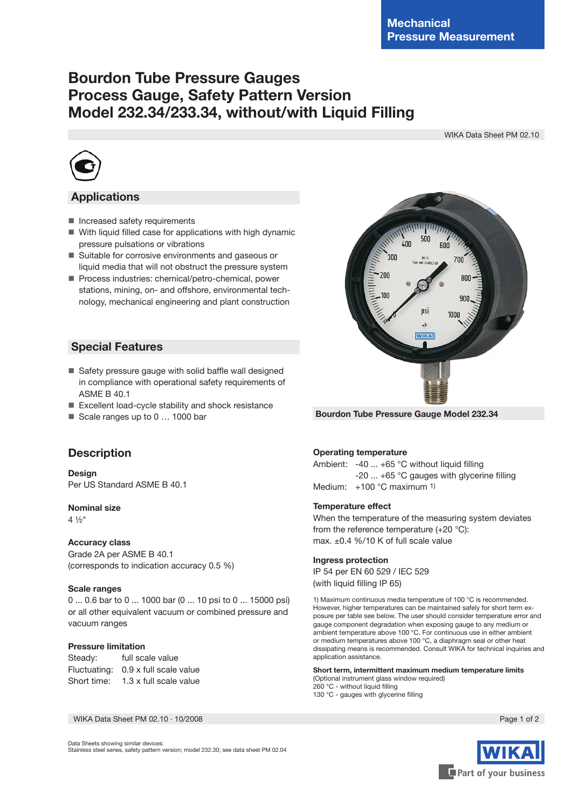# **Bourdon Tube Pressure Gauges Process Gauge, Safety Pattern Version Model 232.34/233.34, without/with Liquid Filling**

WIKA Data Sheet PM 02.10



# **Applications**

- **Increased safety requirements**
- With liquid filled case for applications with high dynamic pressure pulsations or vibrations
- Suitable for corrosive environments and gaseous or liquid media that will not obstruct the pressure system
- Process industries: chemical/petro-chemical, power stations, mining, on- and offshore, environmental technology, mechanical engineering and plant construction

# **Special Features**

- Safety pressure gauge with solid baffle wall designed in compliance with operational safety requirements of ASME B 40.1
- Excellent load-cycle stability and shock resistance
- Scale ranges up to 0 ... 1000 bar



**Design** Per US Standard ASME B 40.1

#### **Nominal size**

4 ½"

#### **Accuracy class**

Grade 2A per ASME B 40.1 (corresponds to indication accuracy 0.5 %)

#### **Scale ranges**

0 ... 0.6 bar to 0 ... 1000 bar (0 ... 10 psi to 0 ... 15000 psi) or all other equivalent vacuum or combined pressure and vacuum ranges

#### **Pressure limitation**

Steady: full scale value Fluctuating: 0.9 x full scale value Short time: 1.3 x full scale value

WIKA Data Sheet PM 02.10 ∙ 10/2008 Page 1 of 2

**Operating temperature**

Ambient: -40 ... +65 °C without liquid filling -20 ... +65 °C gauges with glycerine filling Medium: +100 °C maximum 1)

#### **Temperature effect**

When the temperature of the measuring system deviates from the reference temperature (+20 °C): max. ±0.4 %/10 K of full scale value

#### **Ingress protection**

IP 54 per EN 60 529 / IEC 529 (with liquid filling IP 65)

1) Maximum continuous media temperature of 100 °C is recommended. However, higher temperatures can be maintained safely for short term exposure per table see below. The user should consider temperature error and gauge component degradation when exposing gauge to any medium or ambient temperature above 100 °C. For continuous use in either ambient or medium temperatures above 100 °C, a diaphragm seal or other heat dissipating means is recommended. Consult WIKA for technical inquiries and application assistance.

**Short term, intermittent maximum medium temperature limits** (Optional instrument glass window required) 260 °C - without liquid filling

130 °C - gauges with glycerine filling



Part of your business